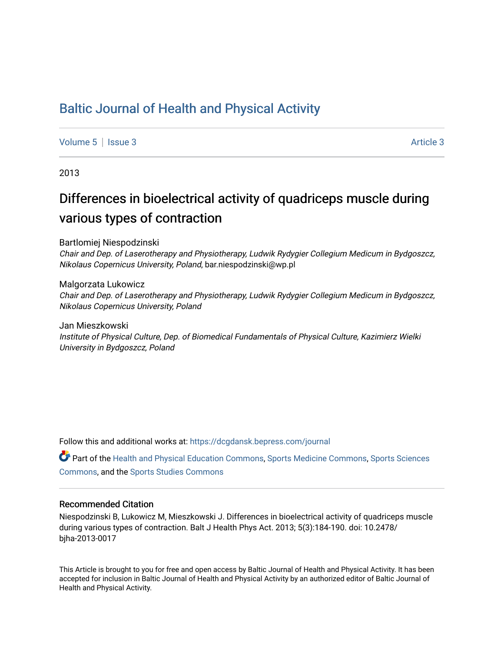## [Baltic Journal of Health and Physical Activity](https://dcgdansk.bepress.com/journal)

[Volume 5](https://dcgdansk.bepress.com/journal/vol5) | [Issue 3](https://dcgdansk.bepress.com/journal/vol5/iss3) Article 3

2013

# Differences in bioelectrical activity of quadriceps muscle during various types of contraction

Bartlomiej Niespodzinski

Chair and Dep. of Laserotherapy and Physiotherapy, Ludwik Rydygier Collegium Medicum in Bydgoszcz, Nikolaus Copernicus University, Poland, bar.niespodzinski@wp.pl

Malgorzata Lukowicz Chair and Dep. of Laserotherapy and Physiotherapy, Ludwik Rydygier Collegium Medicum in Bydgoszcz, Nikolaus Copernicus University, Poland

Jan Mieszkowski Institute of Physical Culture, Dep. of Biomedical Fundamentals of Physical Culture, Kazimierz Wielki University in Bydgoszcz, Poland

Follow this and additional works at: [https://dcgdansk.bepress.com/journal](https://dcgdansk.bepress.com/journal?utm_source=dcgdansk.bepress.com%2Fjournal%2Fvol5%2Fiss3%2F3&utm_medium=PDF&utm_campaign=PDFCoverPages)

Part of the [Health and Physical Education Commons](http://network.bepress.com/hgg/discipline/1327?utm_source=dcgdansk.bepress.com%2Fjournal%2Fvol5%2Fiss3%2F3&utm_medium=PDF&utm_campaign=PDFCoverPages), [Sports Medicine Commons,](http://network.bepress.com/hgg/discipline/1331?utm_source=dcgdansk.bepress.com%2Fjournal%2Fvol5%2Fiss3%2F3&utm_medium=PDF&utm_campaign=PDFCoverPages) [Sports Sciences](http://network.bepress.com/hgg/discipline/759?utm_source=dcgdansk.bepress.com%2Fjournal%2Fvol5%2Fiss3%2F3&utm_medium=PDF&utm_campaign=PDFCoverPages) [Commons](http://network.bepress.com/hgg/discipline/759?utm_source=dcgdansk.bepress.com%2Fjournal%2Fvol5%2Fiss3%2F3&utm_medium=PDF&utm_campaign=PDFCoverPages), and the [Sports Studies Commons](http://network.bepress.com/hgg/discipline/1198?utm_source=dcgdansk.bepress.com%2Fjournal%2Fvol5%2Fiss3%2F3&utm_medium=PDF&utm_campaign=PDFCoverPages) 

## Recommended Citation

Niespodzinski B, Lukowicz M, Mieszkowski J. Differences in bioelectrical activity of quadriceps muscle during various types of contraction. Balt J Health Phys Act. 2013; 5(3):184-190. doi: 10.2478/ bjha-2013-0017

This Article is brought to you for free and open access by Baltic Journal of Health and Physical Activity. It has been accepted for inclusion in Baltic Journal of Health and Physical Activity by an authorized editor of Baltic Journal of Health and Physical Activity.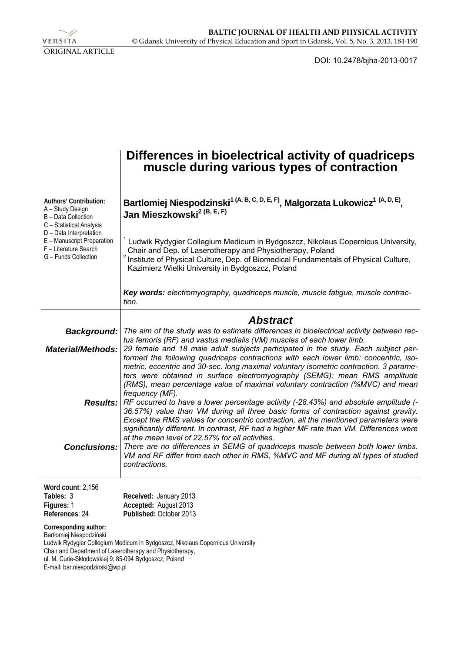

DOI: 10.2478/bjha-2013-0017

|                                                                                                                                                                                                           | Differences in bioelectrical activity of quadriceps<br>muscle during various types of contraction                                                                                                                                                                                                                                                                                                                                                                                                                             |
|-----------------------------------------------------------------------------------------------------------------------------------------------------------------------------------------------------------|-------------------------------------------------------------------------------------------------------------------------------------------------------------------------------------------------------------------------------------------------------------------------------------------------------------------------------------------------------------------------------------------------------------------------------------------------------------------------------------------------------------------------------|
| Authors' Contribution:<br>A - Study Design<br>B - Data Collection<br>C - Statistical Analysis<br>D - Data Interpretation<br>E - Manuscript Preparation<br>F - Literature Search<br>G - Funds Collection   | Bartlomiej Niespodzinski <sup>1 (A, B, C, D, E, F)</sup> , Malgorzata Lukowicz <sup>1 (A, D, E)</sup> ,<br>Jan Mieszkowski <sup>2 (B, E, F)</sup>                                                                                                                                                                                                                                                                                                                                                                             |
|                                                                                                                                                                                                           | Ludwik Rydygier Collegium Medicum in Bydgoszcz, Nikolaus Copernicus University,<br>Chair and Dep. of Laserotherapy and Physiotherapy, Poland<br><sup>2</sup> Institute of Physical Culture, Dep. of Biomedical Fundamentals of Physical Culture,<br>Kazimierz Wielki University in Bydgoszcz, Poland                                                                                                                                                                                                                          |
|                                                                                                                                                                                                           | Key words: electromyography, quadriceps muscle, muscle fatigue, muscle contrac-<br>tion.                                                                                                                                                                                                                                                                                                                                                                                                                                      |
|                                                                                                                                                                                                           | <b>Abstract</b>                                                                                                                                                                                                                                                                                                                                                                                                                                                                                                               |
| <b>Background:</b>                                                                                                                                                                                        | The aim of the study was to estimate differences in bioelectrical activity between rec-                                                                                                                                                                                                                                                                                                                                                                                                                                       |
| <b>Material/Methods:</b>                                                                                                                                                                                  | tus femoris (RF) and vastus medialis (VM) muscles of each lower limb.<br>29 female and 18 male adult subjects participated in the study. Each subject per-<br>formed the following quadriceps contractions with each lower limb: concentric, iso-<br>metric, eccentric and 30-sec. long maximal voluntary isometric contraction. 3 parame-<br>ters were obtained in surface electromyography (SEMG): mean RMS amplitude                                                                                                       |
|                                                                                                                                                                                                           | (RMS), mean percentage value of maximal voluntary contraction (%MVC) and mean<br>frequency (MF).<br>Results:   RF occurred to have a lower percentage activity (-28.43%) and absolute amplitude (-<br>36.57%) value than VM during all three basic forms of contraction against gravity.<br>Except the RMS values for concentric contraction, all the mentioned parameters were<br>significantly different. In contrast, RF had a higher MF rate than VM. Differences were<br>at the mean level of 22.57% for all activities. |
| <b>Conclusions:</b>                                                                                                                                                                                       | There are no differences in SEMG of quadriceps muscle between both lower limbs.<br>VM and RF differ from each other in RMS, %MVC and MF during all types of studied<br>contractions.                                                                                                                                                                                                                                                                                                                                          |
| Word count: 2,156                                                                                                                                                                                         |                                                                                                                                                                                                                                                                                                                                                                                                                                                                                                                               |
| Tables: 3<br>Figures: 1<br>References: 24                                                                                                                                                                 | Received: January 2013<br>Accepted: August 2013<br>Published: October 2013                                                                                                                                                                                                                                                                                                                                                                                                                                                    |
| Corresponding author:<br>Bartłomiej Niespodziński<br>Chair and Department of Laserotherapy and Physiotherapy,<br>ul. M. Curie-Skłodowskiej 9; 85-094 Bydgoszcz, Poland<br>E-mail: bar.niespodzinski@wp.pl | Ludwik Rydygier Collegium Medicum in Bydgoszcz, Nikolaus Copernicus University                                                                                                                                                                                                                                                                                                                                                                                                                                                |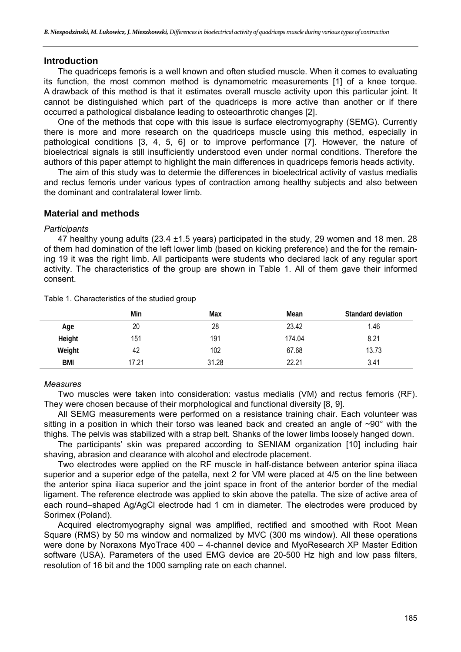## **Introduction**

The quadriceps femoris is a well known and often studied muscle. When it comes to evaluating its function, the most common method is dynamometric measurements [1] of a knee torque. A drawback of this method is that it estimates overall muscle activity upon this particular joint. It cannot be distinguished which part of the quadriceps is more active than another or if there occurred a pathological disbalance leading to osteoarthrotic changes [2].

One of the methods that cope with this issue is surface electromyography (SEMG). Currently there is more and more research on the quadriceps muscle using this method, especially in pathological conditions [3, 4, 5, 6] or to improve performance [7]. However, the nature of bioelectrical signals is still insufficiently understood even under normal conditions. Therefore the authors of this paper attempt to highlight the main differences in quadriceps femoris heads activity.

The aim of this study was to determie the differences in bioelectrical activity of vastus medialis and rectus femoris under various types of contraction among healthy subjects and also between the dominant and contralateral lower limb.

## **Material and methods**

#### *Participants*

47 healthy young adults (23.4 ±1.5 years) participated in the study, 29 women and 18 men. 28 of them had domination of the left lower limb (based on kicking preference) and the for the remaining 19 it was the right limb. All participants were students who declared lack of any regular sport activity. The characteristics of the group are shown in Table 1. All of them gave their informed consent.

|            | Min   | Max   | Mean   | <b>Standard deviation</b> |
|------------|-------|-------|--------|---------------------------|
| Age        | 20    | 28    | 23.42  | 1.46                      |
| Height     | 151   | 191   | 174.04 | 8.21                      |
| Weight     | 42    | 102   | 67.68  | 13.73                     |
| <b>BMI</b> | 17.21 | 31.28 | 22.21  | 3.41                      |

Table 1. Characteristics of the studied group

## *Measures*

Two muscles were taken into consideration: vastus medialis (VM) and rectus femoris (RF). They were chosen because of their morphological and functional diversity [8, 9].

All SEMG measurements were performed on a resistance training chair. Each volunteer was sitting in a position in which their torso was leaned back and created an angle of  $\sim 90^{\circ}$  with the thighs. The pelvis was stabilized with a strap belt. Shanks of the lower limbs loosely hanged down.

The participants' skin was prepared according to SENIAM organization [10] including hair shaving, abrasion and clearance with alcohol and electrode placement.

Two electrodes were applied on the RF muscle in half-distance between anterior spina iliaca superior and a superior edge of the patella, next 2 for VM were placed at 4/5 on the line between the anterior spina iliaca superior and the joint space in front of the anterior border of the medial ligament. The reference electrode was applied to skin above the patella. The size of active area of each round–shaped Ag/AgCl electrode had 1 cm in diameter. The electrodes were produced by Sorimex (Poland).

Acquired electromyography signal was amplified, rectified and smoothed with Root Mean Square (RMS) by 50 ms window and normalized by MVC (300 ms window). All these operations were done by Noraxons MyoTrace 400 – 4-channel device and MyoResearch XP Master Edition software (USA). Parameters of the used EMG device are 20-500 Hz high and low pass filters, resolution of 16 bit and the 1000 sampling rate on each channel.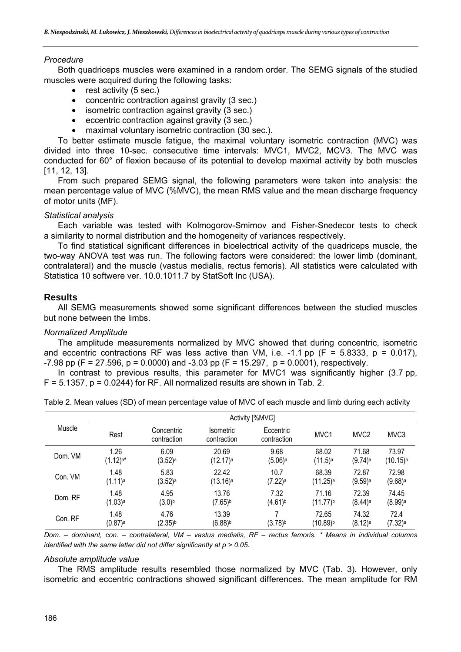## *Procedure*

Both quadriceps muscles were examined in a random order. The SEMG signals of the studied muscles were acquired during the following tasks:

- rest activity (5 sec.)
- concentric contraction against gravity (3 sec.)
- isometric contraction against gravity (3 sec.)
- eccentric contraction against gravity (3 sec.)
- maximal voluntary isometric contraction (30 sec.).

To better estimate muscle fatigue, the maximal voluntary isometric contraction (MVC) was divided into three 10-sec. consecutive time intervals: MVC1, MVC2, MCV3. The MVC was conducted for 60° of flexion because of its potential to develop maximal activity by both muscles [11, 12, 13].

From such prepared SEMG signal, the following parameters were taken into analysis: the mean percentage value of MVC (%MVC), the mean RMS value and the mean discharge frequency of motor units (MF).

#### *Statistical analysis*

Each variable was tested with Kolmogorov-Smirnov and Fisher-Snedecor tests to check a similarity to normal distribution and the homogeneity of variances respectively.

To find statistical significant differences in bioelectrical activity of the quadriceps muscle, the two-way ANOVA test was run. The following factors were considered: the lower limb (dominant, contralateral) and the muscle (vastus medialis, rectus femoris). All statistics were calculated with Statistica 10 softwere ver. 10.0.1011.7 by StatSoft Inc (USA).

## **Results**

All SEMG measurements showed some significant differences between the studied muscles but none between the limbs.

#### *Normalized Amplitude*

The amplitude measurements normalized by MVC showed that during concentric, isometric and eccentric contractions RF was less active than VM, i.e.  $-1.1$  pp (F = 5.8333, p = 0.017),  $-7.98$  pp (F = 27.596, p = 0.0000) and  $-3.03$  pp (F = 15.297, p = 0.0001), respectively.

In contrast to previous results, this parameter for MVC1 was significantly higher (3.7 pp,  $F = 5.1357$ ,  $p = 0.0244$ ) for RF. All normalized results are shown in Tab. 2.

|         | Activity [%MVC]        |                           |                                 |                          |                        |                       |                               |
|---------|------------------------|---------------------------|---------------------------------|--------------------------|------------------------|-----------------------|-------------------------------|
| Muscle  | Rest                   | Concentric<br>contraction | <b>Isometric</b><br>contraction | Eccentric<br>contraction | MVC <sub>1</sub>       | MVC <sub>2</sub>      | MVC <sub>3</sub>              |
| Dom. VM | 1.26                   | 6.09                      | 20.69                           | 9.68                     | 68.02                  | 71.68                 | 73.97                         |
|         | $(1.12)$ <sup>a*</sup> | $(3.52)$ <sup>a</sup>     | (12.17) <sup>a</sup>            | $(5.06)$ <sup>a</sup>    | $(11.5)$ <sup>a</sup>  | $(9.74)$ <sup>a</sup> | $(10.15)^a$                   |
| Con. VM | 1.48                   | 5.83                      | 22.42                           | 10.7                     | 68.39                  | 72.87                 | 72.98                         |
|         | $(1.11)$ a             | $(3.52)$ <sup>a</sup>     | (13.16) <sup>a</sup>            | $(7.22)$ <sup>a</sup>    | $(11.25)$ <sup>a</sup> | $(9.59)$ a            | $(9.68)$ <sup>a</sup>         |
| Dom. RF | 1.48                   | 4.95                      | 13.76                           | 7.32                     | 71.16                  | 72.39                 | 74.45                         |
|         | (1.03)a                | $(3.0)^{b}$               | $(7.65)^{b}$                    | $(4.61)^{b}$             | $(11.77)^{b}$          | $(8.44)$ <sup>a</sup> | $(8.99)$ a                    |
| Con. RF | 1.48<br>$(0.87)$ a     | 4.76<br>$(2.35)^{b}$      | 13.39<br>$(6.88)^{b}$           | $(3.78)^{b}$             | 72.65<br>$(10.89)^{b}$ | 74.32<br>$(8.12)$ a   | 72.4<br>$(7.32)$ <sup>a</sup> |

Table 2. Mean values (SD) of mean percentage value of MVC of each muscle and limb during each activity

*Dom. – dominant, con. – contralateral, VM – vastus medialis, RF – rectus femoris. \* Means in individual columns identified with the same letter did not differ significantly at p > 0.05.* 

#### *Absolute amplitude value*

The RMS amplitude results resembled those normalized by MVC (Tab. 3). However, only isometric and eccentric contractions showed significant differences. The mean amplitude for RM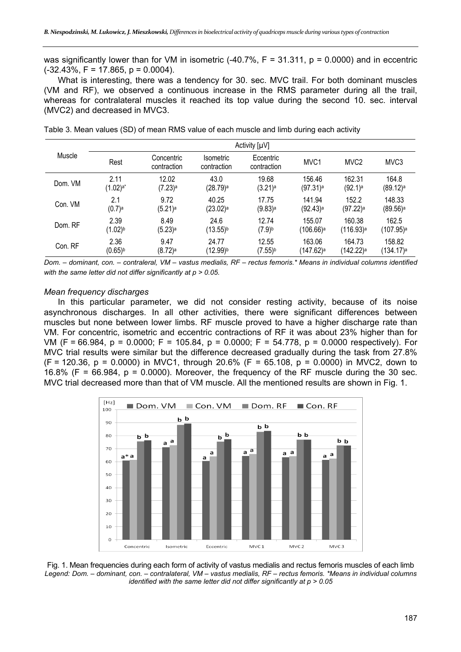was significantly lower than for VM in isometric  $(-40.7\%$ ,  $F = 31.311$ ,  $p = 0.0000$ ) and in eccentric  $(-32.43\%, F = 17.865, p = 0.0004)$ .

What is interesting, there was a tendency for 30. sec. MVC trail. For both dominant muscles (VM and RF), we observed a continuous increase in the RMS parameter during all the trail, whereas for contralateral muscles it reached its top value during the second 10. sec. interval (MVC2) and decreased in MVC3.

|         | Activity $[\mu V]$   |                           |                                 |                          |                        |                         |                        |
|---------|----------------------|---------------------------|---------------------------------|--------------------------|------------------------|-------------------------|------------------------|
| Muscle  | Rest                 | Concentric<br>contraction | <b>Isometric</b><br>contraction | Eccentric<br>contraction | MVC1                   | MVC <sub>2</sub>        | MVC <sub>3</sub>       |
| Dom. VM | 2.11                 | 12.02                     | 43.0                            | 19.68                    | 156.46                 | 162.31                  | 164.8                  |
|         | $(1.02)$ a*          | $(7.23)$ <sup>a</sup>     | (28.79) <sup>a</sup>            | $(3.21)$ <sup>a</sup>    | $(97.31)$ <sup>a</sup> | $(92.1)$ <sup>a</sup>   | $(89.12)$ <sup>a</sup> |
| Con. VM | 2.1                  | 9.72                      | 40.25                           | 17.75                    | 141.94                 | 152.2                   | 148.33                 |
|         | $(0.7)$ <sup>a</sup> | $(5.21)$ <sup>a</sup>     | $(23.02)^a$                     | $(9.83)$ <sup>a</sup>    | $(92.43)$ <sup>a</sup> | $(97.22)$ <sup>a</sup>  | $(89.56)$ <sup>a</sup> |
| Dom. RF | 2.39                 | 8.49                      | 24.6                            | 12.74                    | 155.07                 | 160.38                  | 162.5                  |
|         | (1.02)b              | $(5.23)$ <sup>a</sup>     | (13.55)b                        | $(7.9)^{b}$              | (106.66)a              | $(116.93)$ <sup>a</sup> | (107.95)ª              |
| Con. RF | 2.36                 | 9.47                      | 24.77                           | 12.55                    | 163.06                 | 164.73                  | 158.82                 |
|         | $(0.65)^{b}$         | $(8.72)$ <sup>a</sup>     | (12.99)b                        | $(7.55)^{b}$             | (147.62)a              | (142.22)a               | (134.17) <sup>a</sup>  |

Table 3. Mean values (SD) of mean RMS value of each muscle and limb during each activity

*Dom. – dominant, con. – contraleral, VM – vastus medialis, RF – rectus femoris.\* Means in individual columns identified with the same letter did not differ significantly at p > 0.05.*

#### *Mean frequency discharges*

In this particular parameter, we did not consider resting activity, because of its noise asynchronous discharges. In all other activities, there were significant differences between muscles but none between lower limbs. RF muscle proved to have a higher discharge rate than VM. For concentric, isometric and eccentric contractions of RF it was about 23% higher than for VM (F = 66.984, p = 0.0000; F = 105.84, p = 0.0000; F = 54.778, p = 0.0000 respectively). For MVC trial results were similar but the difference decreased gradually during the task from 27.8%  $(F = 120.36, p = 0.0000)$  in MVC1, through 20.6% (F = 65.108, p = 0.0000) in MVC2, down to 16.8% (F =  $66.984$ , p = 0.0000). Moreover, the frequency of the RF muscle during the 30 sec. MVC trial decreased more than that of VM muscle. All the mentioned results are shown in Fig. 1.



Fig. 1. Mean frequencies during each form of activity of vastus medialis and rectus femoris muscles of each limb *Legend: Dom. – dominant, con. – contralateral, VM – vastus medialis, RF – rectus femoris. \*Means in individual columns identified with the same letter did not differ significantly at p > 0.05*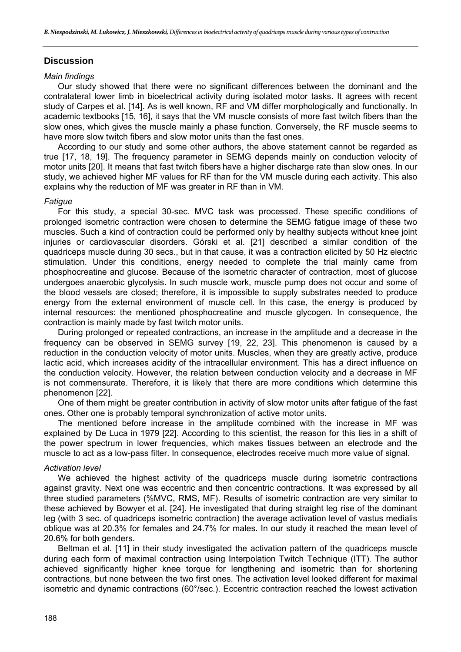## **Discussion**

#### *Main findings*

Our study showed that there were no significant differences between the dominant and the contralateral lower limb in bioelectrical activity during isolated motor tasks. It agrees with recent study of Carpes et al. [14]. As is well known, RF and VM differ morphologically and functionally. In academic textbooks [15, 16], it says that the VM muscle consists of more fast twitch fibers than the slow ones, which gives the muscle mainly a phase function. Conversely, the RF muscle seems to have more slow twitch fibers and slow motor units than the fast ones.

According to our study and some other authors, the above statement cannot be regarded as true [17, 18, 19]. The frequency parameter in SEMG depends mainly on conduction velocity of motor units [20]. It means that fast twitch fibers have a higher discharge rate than slow ones. In our study, we achieved higher MF values for RF than for the VM muscle during each activity. This also explains why the reduction of MF was greater in RF than in VM.

#### *Fatigue*

For this study, a special 30-sec. MVC task was processed. These specific conditions of prolonged isometric contraction were chosen to determine the SEMG fatigue image of these two muscles. Such a kind of contraction could be performed only by healthy subjects without knee joint injuries or cardiovascular disorders. Górski et al. [21] described a similar condition of the quadriceps muscle during 30 secs., but in that cause, it was a contraction elicited by 50 Hz electric stimulation. Under this conditions, energy needed to complete the trial mainly came from phosphocreatine and glucose. Because of the isometric character of contraction, most of glucose undergoes anaerobic glycolysis. In such muscle work, muscle pump does not occur and some of the blood vessels are closed; therefore, it is impossible to supply substrates needed to produce energy from the external environment of muscle cell. In this case, the energy is produced by internal resources: the mentioned phosphocreatine and muscle glycogen. In consequence, the contraction is mainly made by fast twitch motor units.

During prolonged or repeated contractions, an increase in the amplitude and a decrease in the frequency can be observed in SEMG survey [19, 22, 23]. This phenomenon is caused by a reduction in the conduction velocity of motor units. Muscles, when they are greatly active, produce lactic acid, which increases acidity of the intracellular environment. This has a direct influence on the conduction velocity. However, the relation between conduction velocity and a decrease in MF is not commensurate. Therefore, it is likely that there are more conditions which determine this phenomenon [22].

One of them might be greater contribution in activity of slow motor units after fatigue of the fast ones. Other one is probably temporal synchronization of active motor units.

The mentioned before increase in the amplitude combined with the increase in MF was explained by De Luca in 1979 [22]. According to this scientist, the reason for this lies in a shift of the power spectrum in lower frequencies, which makes tissues between an electrode and the muscle to act as a low-pass filter. In consequence, electrodes receive much more value of signal.

## *Activation level*

We achieved the highest activity of the quadriceps muscle during isometric contractions against gravity. Next one was eccentric and then concentric contractions. It was expressed by all three studied parameters (%MVC, RMS, MF). Results of isometric contraction are very similar to these achieved by Bowyer et al. [24]. He investigated that during straight leg rise of the dominant leg (with 3 sec. of quadriceps isometric contraction) the average activation level of vastus medialis oblique was at 20.3% for females and 24.7% for males. In our study it reached the mean level of 20.6% for both genders.

Beltman et al. [11] in their study investigated the activation pattern of the quadriceps muscle during each form of maximal contraction using Interpolation Twitch Technique (ITT). The author achieved significantly higher knee torque for lengthening and isometric than for shortening contractions, but none between the two first ones. The activation level looked different for maximal isometric and dynamic contractions (60°/sec.). Eccentric contraction reached the lowest activation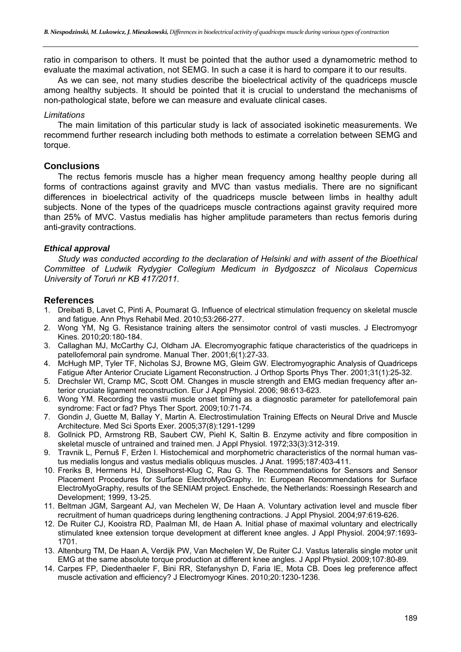ratio in comparison to others. It must be pointed that the author used a dynamometric method to evaluate the maximal activation, not SEMG. In such a case it is hard to compare it to our results.

As we can see, not many studies describe the bioelectrical activity of the quadriceps muscle among healthy subjects. It should be pointed that it is crucial to understand the mechanisms of non-pathological state, before we can measure and evaluate clinical cases.

## *Limitations*

The main limitation of this particular study is lack of associated isokinetic measurements. We recommend further research including both methods to estimate a correlation between SEMG and torque.

## **Conclusions**

The rectus femoris muscle has a higher mean frequency among healthy people during all forms of contractions against gravity and MVC than vastus medialis. There are no significant differences in bioelectrical activity of the quadriceps muscle between limbs in healthy adult subjects. None of the types of the quadriceps muscle contractions against gravity required more than 25% of MVC. Vastus medialis has higher amplitude parameters than rectus femoris during anti-gravity contractions.

## *Ethical approval*

*Study was conducted according to the declaration of Helsinki and with assent of the Bioethical Committee of Ludwik Rydygier Collegium Medicum in Bydgoszcz of Nicolaus Copernicus University of Toruń nr KB 417/2011.* 

## **References**

- 1. Dreibati B, Lavet C, Pinti A, Poumarat G. Influence of electrical stimulation frequency on skeletal muscle and fatigue. Ann Phys Rehabil Med. 2010;53:266-277.
- 2. Wong YM, Ng G. Resistance training alters the sensimotor control of vasti muscles. J Electromyogr Kines. 2010;20:180-184.
- 3. Callaghan MJ, McCarthy CJ, Oldham JA. Elecromyographic fatique characteristics of the quadriceps in patellofemoral pain syndrome. Manual Ther. 2001;6(1):27-33.
- 4. McHugh MP, Tyler TF, Nicholas SJ, Browne MG, Gleim GW. Electromyographic Analysis of Quadriceps Fatigue After Anterior Cruciate Ligament Reconstruction. J Orthop Sports Phys Ther. 2001;31(1):25-32.
- 5. Drechsler WI, Cramp MC, Scott OM. Changes in muscle strength and EMG median frequency after anterior cruciate ligament reconstruction. Eur J Appl Physiol. 2006; 98:613-623.
- 6. Wong YM. Recording the vastii muscle onset timing as a diagnostic parameter for patellofemoral pain syndrome: Fact or fad? Phys Ther Sport. 2009;10:71-74.
- 7. Gondin J, Guette M, Ballay Y, Martin A. Electrostimulation Training Effects on Neural Drive and Muscle Architecture. Med Sci Sports Exer. 2005;37(8):1291-1299
- 8. Gollnick PD, Armstrong RB, Saubert CW, Piehl K, Saltin B. Enzyme activity and fibre composition in skeletal muscle of untrained and trained men. J Appl Physiol. 1972;33(3):312-319.
- 9. Travnik L, Pernuš F, Eržen I. Histochemical and morphometric characteristics of the normal human vastus medialis longus and vastus medialis obliquus muscles. J Anat. 1995;187:403-411.
- 10. Freriks B, Hermens HJ, Disselhorst-Klug C, Rau G. The Recommendations for Sensors and Sensor Placement Procedures for Surface ElectroMyoGraphy. In: European Recommendations for Surface ElectroMyoGraphy, results of the SENIAM project. Enschede, the Netherlands: Roessingh Research and Development; 1999, 13-25.
- 11. Beltman JGM, Sargeant AJ, van Mechelen W, De Haan A. Voluntary activation level and muscle fiber recruitment of human quadriceps during lengthening contractions. J Appl Physiol. 2004;97:619-626.
- 12. De Ruiter CJ, Kooistra RD, Paalman MI, de Haan A. Initial phase of maximal voluntary and electrically stimulated knee extension torque development at different knee angles. J Appl Physiol. 2004;97:1693- 1701.
- 13. Altenburg TM, De Haan A, Verdijk PW, Van Mechelen W, De Ruiter CJ. Vastus lateralis single motor unit EMG at the same absolute torque production at different knee angles. J Appl Physiol. 2009;107:80-89.
- 14. Carpes FP, Diedenthaeler F, Bini RR, Stefanyshyn D, Faria IE, Mota CB. Does leg preference affect muscle activation and efficiency? J Electromyogr Kines. 2010;20:1230-1236.